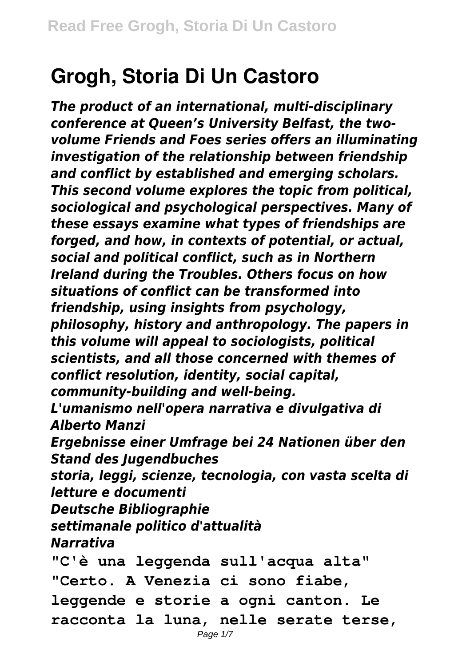## **Grogh, Storia Di Un Castoro**

*The product of an international, multi-disciplinary conference at Queen's University Belfast, the twovolume Friends and Foes series offers an illuminating investigation of the relationship between friendship and conflict by established and emerging scholars. This second volume explores the topic from political, sociological and psychological perspectives. Many of these essays examine what types of friendships are forged, and how, in contexts of potential, or actual, social and political conflict, such as in Northern Ireland during the Troubles. Others focus on how situations of conflict can be transformed into friendship, using insights from psychology, philosophy, history and anthropology. The papers in this volume will appeal to sociologists, political scientists, and all those concerned with themes of conflict resolution, identity, social capital, community-building and well-being. L'umanismo nell'opera narrativa e divulgativa di Alberto Manzi Ergebnisse einer Umfrage bei 24 Nationen über den Stand des Jugendbuches storia, leggi, scienze, tecnologia, con vasta scelta di letture e documenti Deutsche Bibliographie settimanale politico d'attualità Narrativa* **"C'è una leggenda sull'acqua alta" "Certo. A Venezia ci sono fiabe, leggende e storie a ogni canton. Le racconta la luna, nelle serate terse,**

Page  $1/7$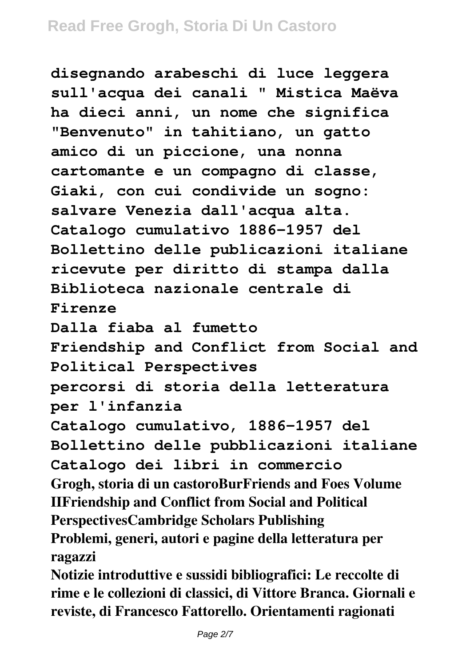**disegnando arabeschi di luce leggera sull'acqua dei canali " Mistica Maëva ha dieci anni, un nome che significa "Benvenuto" in tahitiano, un gatto amico di un piccione, una nonna cartomante e un compagno di classe, Giaki, con cui condivide un sogno: salvare Venezia dall'acqua alta. Catalogo cumulativo 1886-1957 del Bollettino delle publicazioni italiane ricevute per diritto di stampa dalla Biblioteca nazionale centrale di Firenze Dalla fiaba al fumetto Friendship and Conflict from Social and Political Perspectives percorsi di storia della letteratura per l'infanzia Catalogo cumulativo, 1886-1957 del Bollettino delle pubblicazioni italiane Catalogo dei libri in commercio Grogh, storia di un castoroBurFriends and Foes Volume IIFriendship and Conflict from Social and Political PerspectivesCambridge Scholars Publishing Problemi, generi, autori e pagine della letteratura per ragazzi Notizie introduttive e sussidi bibliografici: Le reccolte di**

**rime e le collezioni di classici, di Vittore Branca. Giornali e reviste, di Francesco Fattorello. Orientamenti ragionati**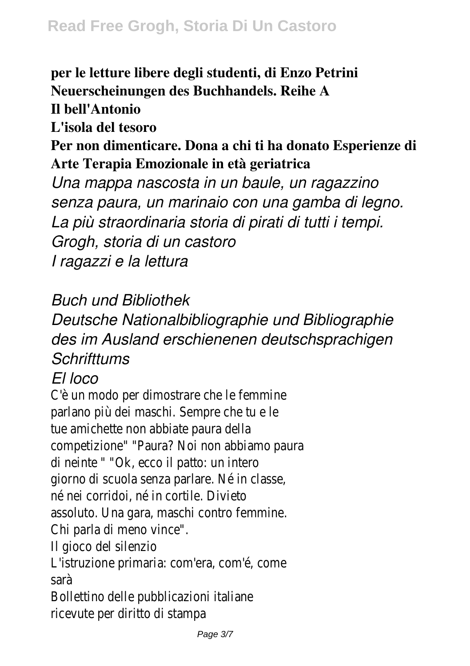**per le letture libere degli studenti, di Enzo Petrini Neuerscheinungen des Buchhandels. Reihe A Il bell'Antonio L'isola del tesoro Per non dimenticare. Dona a chi ti ha donato Esperienze di Arte Terapia Emozionale in età geriatrica** *Una mappa nascosta in un baule, un ragazzino senza paura, un marinaio con una gamba di legno. La più straordinaria storia di pirati di tutti i tempi. Grogh, storia di un castoro I ragazzi e la lettura*

*Buch und Bibliothek*

*Deutsche Nationalbibliographie und Bibliographie des im Ausland erschienenen deutschsprachigen Schrifttums*

## *El loco*

C'è un modo per dimostrare che le femmine parlano più dei maschi. Sempre che tu e le tue amichette non abbiate paura della competizione" "Paura? Noi non abbiamo paura di neinte " "Ok, ecco il patto: un intero giorno di scuola senza parlare. Né in classe, né nei corridoi, né in cortile. Divieto assoluto. Una gara, maschi contro femmine. Chi parla di meno vince". Il gioco del silenzio L'istruzione primaria: com'era, com'é, come sarà

Bollettino delle pubblicazioni italiane ricevute per diritto di stampa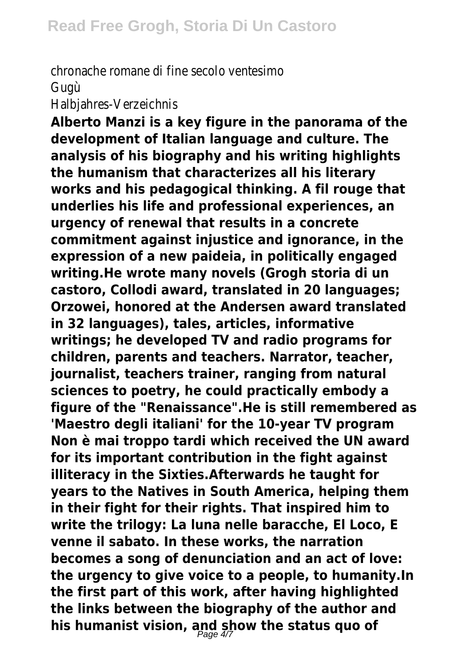chronache romane di fine secolo ventesimo Gugù

Halbjahres-Verzeichnis

**Alberto Manzi is a key figure in the panorama of the development of Italian language and culture. The analysis of his biography and his writing highlights the humanism that characterizes all his literary works and his pedagogical thinking. A fil rouge that underlies his life and professional experiences, an urgency of renewal that results in a concrete commitment against injustice and ignorance, in the expression of a new paideia, in politically engaged writing.He wrote many novels (Grogh storia di un castoro, Collodi award, translated in 20 languages; Orzowei, honored at the Andersen award translated in 32 languages), tales, articles, informative writings; he developed TV and radio programs for children, parents and teachers. Narrator, teacher, journalist, teachers trainer, ranging from natural sciences to poetry, he could practically embody a figure of the "Renaissance".He is still remembered as 'Maestro degli italiani' for the 10-year TV program Non è mai troppo tardi which received the UN award for its important contribution in the fight against illiteracy in the Sixties.Afterwards he taught for years to the Natives in South America, helping them in their fight for their rights. That inspired him to write the trilogy: La luna nelle baracche, El Loco, E venne il sabato. In these works, the narration becomes a song of denunciation and an act of love: the urgency to give voice to a people, to humanity.In the first part of this work, after having highlighted the links between the biography of the author and his humanist vision, and show the status quo of** Page 4/7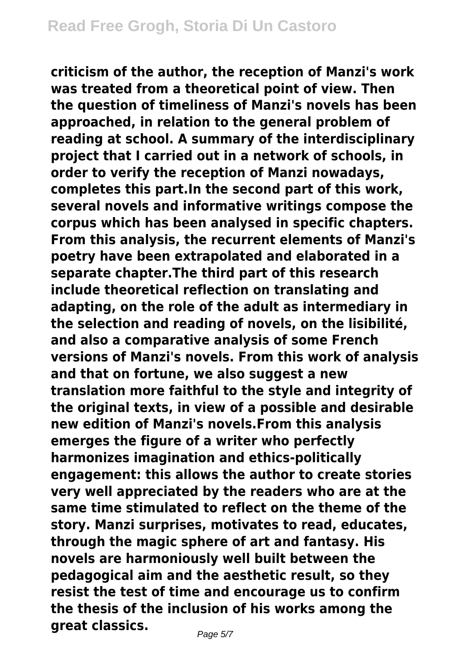**criticism of the author, the reception of Manzi's work was treated from a theoretical point of view. Then the question of timeliness of Manzi's novels has been approached, in relation to the general problem of reading at school. A summary of the interdisciplinary project that I carried out in a network of schools, in order to verify the reception of Manzi nowadays, completes this part.In the second part of this work, several novels and informative writings compose the corpus which has been analysed in specific chapters. From this analysis, the recurrent elements of Manzi's poetry have been extrapolated and elaborated in a separate chapter.The third part of this research include theoretical reflection on translating and adapting, on the role of the adult as intermediary in the selection and reading of novels, on the lisibilité, and also a comparative analysis of some French versions of Manzi's novels. From this work of analysis and that on fortune, we also suggest a new translation more faithful to the style and integrity of the original texts, in view of a possible and desirable new edition of Manzi's novels.From this analysis emerges the figure of a writer who perfectly harmonizes imagination and ethics-politically engagement: this allows the author to create stories very well appreciated by the readers who are at the same time stimulated to reflect on the theme of the story. Manzi surprises, motivates to read, educates, through the magic sphere of art and fantasy. His novels are harmoniously well built between the pedagogical aim and the aesthetic result, so they resist the test of time and encourage us to confirm the thesis of the inclusion of his works among the great classics.**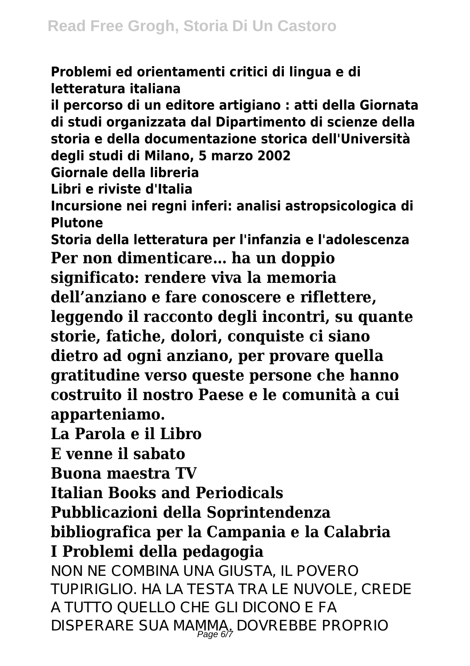**Problemi ed orientamenti critici di lingua e di letteratura italiana il percorso di un editore artigiano : atti della Giornata di studi organizzata dal Dipartimento di scienze della storia e della documentazione storica dell'Università degli studi di Milano, 5 marzo 2002 Giornale della libreria Libri e riviste d'Italia Incursione nei regni inferi: analisi astropsicologica di Plutone Storia della letteratura per l'infanzia e l'adolescenza Per non dimenticare… ha un doppio significato: rendere viva la memoria dell'anziano e fare conoscere e riflettere, leggendo il racconto degli incontri, su quante storie, fatiche, dolori, conquiste ci siano dietro ad ogni anziano, per provare quella gratitudine verso queste persone che hanno costruito il nostro Paese e le comunità a cui apparteniamo. La Parola e il Libro E venne il sabato Buona maestra TV Italian Books and Periodicals Pubblicazioni della Soprintendenza bibliografica per la Campania e la Calabria I Problemi della pedagogia** NON NE COMBINA UNA GIUSTA, IL POVERO TUPIRIGLIO. HA LA TESTA TRA LE NUVOLE, CREDE A TUTTO QUELLO CHE GLI DICONO E FA

DISPERARE SUA MAMMA, DOVREBBE PROPRIO